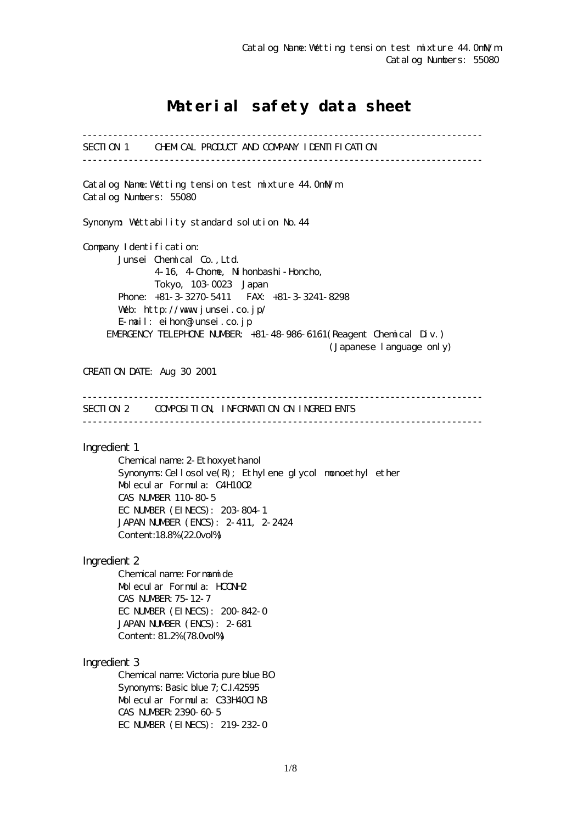# Material safety data sheet

------------------------------------------------------------------------------ SECTION 1 CHEMICAL PRODUCT AND COMPANY IDENTIFICATION ------------------------------------------------------------------------------ Catalog Name:Wetting tension test mixture 44.0mN/m Catalog Numbers: 55080 Synonym: Wettability standard solution No. 44 Company I dentification: Junsei Chemical Co.,Ltd. 4-16, 4-Chome, Nihonbashi-Honcho, Tokyo, 103-0023 Japan Phone: +81-3-3270-5411 FAX: +81-3-3241-8298 Web: http://www.junsei.co.jp/ E-mail: eihon@junsei.co.jp EMERGENCY TELEPHONE NUMBER: +81-48-986-6161(Reagent Chemical Div.) (Japanese language only) CREATION DATE: Aug 30 2001 ------------------------------------------------------------------------------ SECTION 2 COMPOSITION, INFORMATION ON INGREDIENTS ------------------------------------------------------------------------------ Ingredient 1 Chemical name: 2-Ethoxyethanol Synonyms: Cellosolve $(R)$ ; Ethylene glycol monoethyl ether Molecular Formula: C4H10O2 CAS NUMBER 110-80-5 EC NUMBER (EINECS): 203-804-1 JAPAN NUMBER (ENCS): 2-411, 2-2424 Content:18.8% (22.0vol%) Ingredient 2 Chemical name: Formamide Molecular Formula: HCONH2 CAS NUMBER:75-12-7 EC NUMBER (EINECS): 200-842-0 JAPAN NUMBER (ENCS): 2-681 Content: 81.2% (78.0vol%) Ingredient 3 Chemical name: Victoria pure blue BO Synonyms: Basic blue 7; C.I.42595 Molecular Formula: C33H40ClN3 CAS NUMBER:2390-60-5 EC NUMBER (EINECS): 219-232-0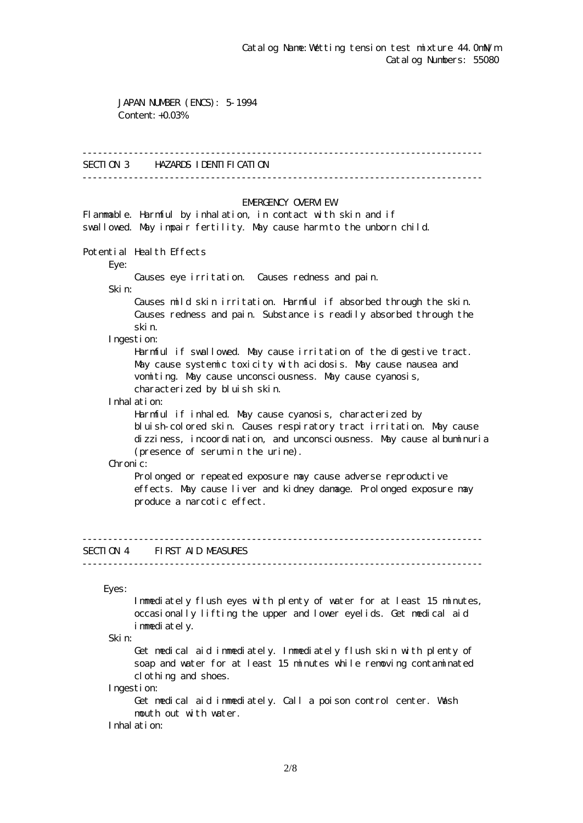JAPAN NUMBER (ENCS): 5-1994 Content: +0.03%

#### ------------------------------------------------------------------------------

### SECTION 3 HAZARDS IDENTIFICATION

------------------------------------------------------------------------------

#### EMERGENCY CAERM EW

Flammable. Harmful by inhalation, in contact with skin and if swallowed. May impair fertility. May cause harm to the unborn child.

Potential Health Effects

Eye:

Causes eye irritation. Causes redness and pain.

Skin:

 Causes mild skin irritation. Harmful if absorbed through the skin. Causes redness and pain. Substance is readily absorbed through the skin.

Ingestion:

 Harmful if swallowed. May cause irritation of the digestive tract. May cause systemic toxicity with acidosis. May cause nausea and vomiting. May cause unconsciousness. May cause cyanosis, characterized by bluish skin.

Inhalation:

 Harmful if inhaled. May cause cyanosis, characterized by bluish-colored skin. Causes respiratory tract irritation. May cause dizziness, incoordination, and unconsciousness. May cause albuminuria (presence of serum in the urine).

Chronic:

Prolonged or repeated exposure may cause adverse reproductive effects. May cause liver and kidney damage. Prolonged exposure may produce a narcotic effect.

# SECTION 4 FIRST AID MEASURES

------------------------------------------------------------------------------

------------------------------------------------------------------------------

Eyes:

 Immediately flush eyes with plenty of water for at least 15 minutes, occasionally lifting the upper and lower eyelids. Get medical aid immediately.

Skin:

 Get medical aid immediately. Immediately flush skin with plenty of soap and water for at least 15 minutes while removing contaminated clothing and shoes.

Ingestion:

 Get medical aid immediately. Call a poison control center. Wash mouth out with water.

Inhalation: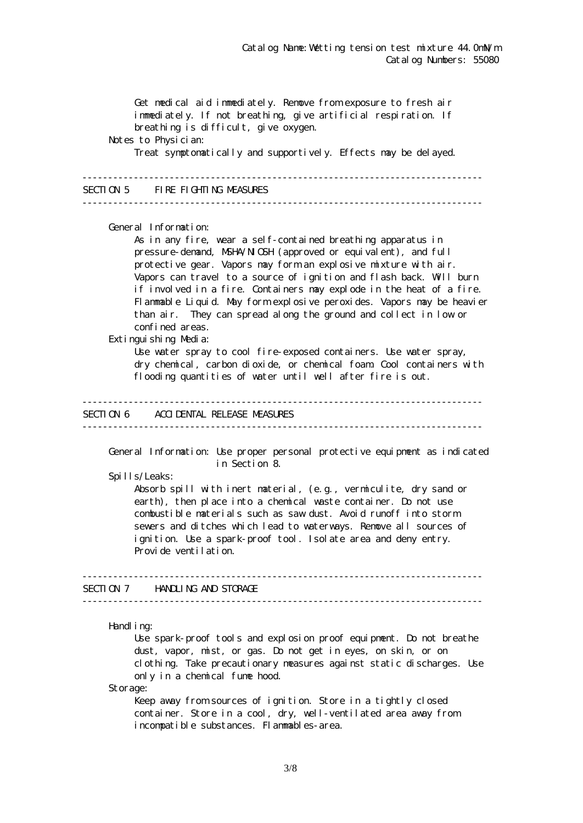Get medical aid immediately. Remove from exposure to fresh air immediately. If not breathing, give artificial respiration. If breathing is difficult, give oxygen. Notes to Physician: Treat symptomatically and supportively. Effects may be delayed. ------------------------------------------------------------------------------ SECTION 5 FIRE FIGHTING MEASURES ------------------------------------------------------------------------------ General Information: As in any fire, wear a self-contained breathing apparatus in pressure-demand, NSHA/NICSH (approved or equivalent), and full protective gear. Vapors may form an explosive mixture with air. Vapors can travel to a source of ignition and flash back. Will burn if involved in a fire. Containers may explode in the heat of a fire. Flammable Liquid. May form explosive peroxides. Vapors may be heavier than air. They can spread along the ground and collect in low or confined areas. Extinguishing Media: Use water spray to cool fire-exposed containers. Use water spray, dry chemical, carbon dioxide, or chemical foam. Cool containers with flooding quantities of water until well after fire is out. ------------------------------------------------------------------------------ SECTION 6 ACCIDENTAL RELEASE MEASURES ------------------------------------------------------------------------------ General Information: Use proper personal protective equipment as indicated in Section 8. Spills/Leaks: Absorb spill with inert material, (e.g., vermiculite, dry sand or earth), then place into a chemical waste container. Do not use combustible materials such as saw dust. Avoid runoff into storm sewers and ditches which lead to waterways. Remove all sources of ignition. Use a spark-proof tool. Isolate area and deny entry. Provide ventilation. ------------------------------------------------------------------------------ SECTION 7 HANDLING AND STORAGE ------------------------------------------------------------------------------ Handling: Use spark-proof tools and explosion proof equipment. Do not breathe dust, vapor, mist, or gas. Do not get in eyes, on skin, or on clothing. Take precautionary measures against static discharges. Use only in a chemical fume hood.

Storage:

Keep away from sources of ignition. Store in a tightly closed container. Store in a cool, dry, well-ventilated area away from incompatible substances. Flammables-area.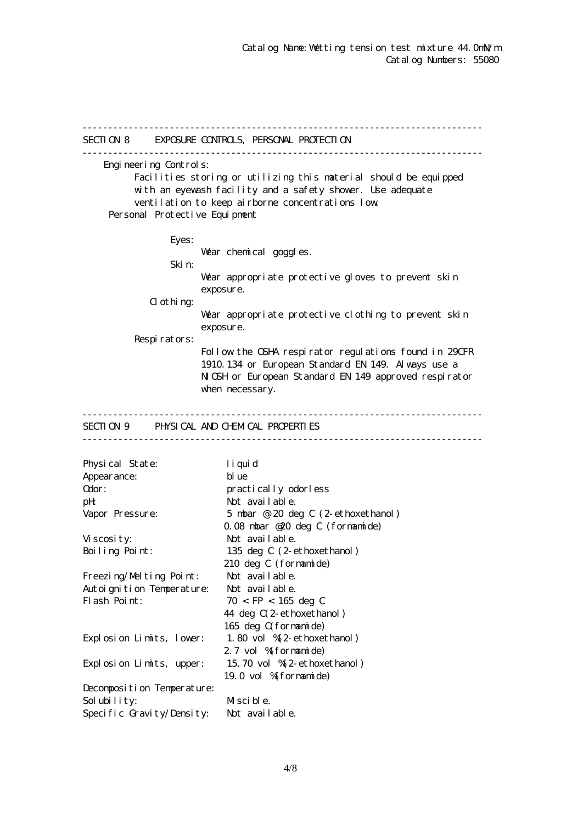------------------------------------------------------------------------------ SECTION 8 EXPOSURE CONTROLS, PERSONAL PROTECTION ------------------------------------------------------------------------------ Engineering Controls: Facilities storing or utilizing this material should be equipped with an eyewash facility and a safety shower. Use adequate ventilation to keep airborne concentrations low. Personal Protective Equipment Eyes: War chemical goggles. Skin: Wear appropriate protective gloves to prevent skin exposure. Clothing: Wear appropriate protective clothing to prevent skin exposure. Respirators: Follow the OSHA respirator regulations found in 29CFR 1910.134 or European Standard EN 149. Always use a NGH or European Standard EN 149 approved respirator when necessary. ------------------------------------------------------------------------------ SECTION 9 PHYSICAL AND CHEMICAL PROPERTIES ------------------------------------------------------------------------------ Physical State: liquid Appearance: blue Odor: practically odorless pH: Not available. Vapor Pressure: 5 mbar @ 20 deg C (2-ethoxethanol) 0.08 mbar @20 deg C (formamide) Viscosity: Not available. Boiling Point: 135 deg C (2-ethoxethanol) 210 deg C (formamide) Freezing/Melting Point: Not available. Autoignition Temperature: Not available. Flash Point:  $70 <$  FP  $< 165$  deg C 44 deg C(2-ethoxethanol) 165 deg C(formamide) Explosion Limits, lower: 1.80 vol %(2-ethoxethanol) 2.7 vol % formamide) Explosion Limits, upper: 15.70 vol %(2-ethoxethanol) 19.0 vol %(formamide) Decomposition Temperature: Solubility: Miscible. Specific Gravity/Density: Not available.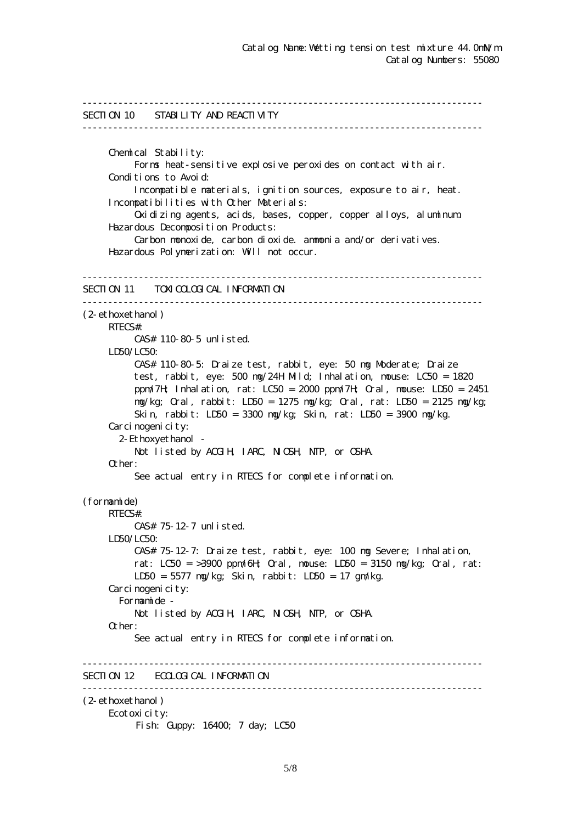```
------------------------------------------------------------------------------
SECTION 10 STABILITY AND REACTIVITY
------------------------------------------------------------------------------
      Chemical Stability:
           Forms heat-sensitive explosive peroxides on contact with air.
     Conditions to Avoid:
           Incompatible materials, ignition sources, exposure to air, heat.
      Incompatibilities with Other Materials:
           Oxidizing agents, acids, bases, copper, copper alloys, aluminum.
      Hazardous Decomposition Products:
           Carbon monoxide, carbon dioxide. ammonia and/or derivatives.
      Hazardous Polymerization: Will not occur.
------------------------------------------------------------------------------
SECTION 11 TOXICOLOGICAL INFORMATION
------------------------------------------------------------------------------
(2-ethoxethanol)
      RTECS#:
           CAS# 110-80-5 unlisted.
     LDSO/LCSO CAS# 110-80-5: Draize test, rabbit, eye: 50 mg Moderate; Draize
           test, rabbit, eye: 500 mg/24H Mild; Inhalation, mouse: LC50 = 1820
           ppm/7H; Inhalation, rat: LC50 = 2000 ppm/7H; Oral, mouse: LD50 = 2451
           mg/kg; Oral, rabbit: LD50 = 1275 mg/kg; Oral, rat: LD50 = 2125 mg/kg;
           Skin, rabbit: LD50 = 3300 mg/kg; Skin, rat: LD50 = 3900 mg/kg.
     Carcinogenicity:
        2-Ethoxyethanol -
          Not listed by ACGIH, IARC, NIGH, NTP, or CSHA.
      Other:
           See actual entry in RTECS for complete information.
(formamide)
      RTECS#:
           CAS# 75-12-7 unlisted.
      LD50/LC50:
           CAS# 75-12-7: Draize test, rabbit, eye: 100 mg Severe; Inhalation,
          rat: LC50 = 3900 ppm/6H \alphaal, nouse: LD50 = 3150 ng/kg; \alphaal, rat:
           LD50 = 5577 mg/kg; Skin, rabbit: LD50 = 17 gm/kg.
     Carcinogenicity:
        Formamide -
          Not listed by ACGIH, IARC, NICSH, NIP, or CSHA.
      Other:
           See actual entry in RTECS for complete information.
  ------------------------------------------------------------------------------
SECTION 12 ECOLOGICAL INFORMATION
------------------------------------------------------------------------------
(2-ethoxethanol)
      Ecotoxicity:
          Fish: Guppy: 16400; 7 day; LC50
```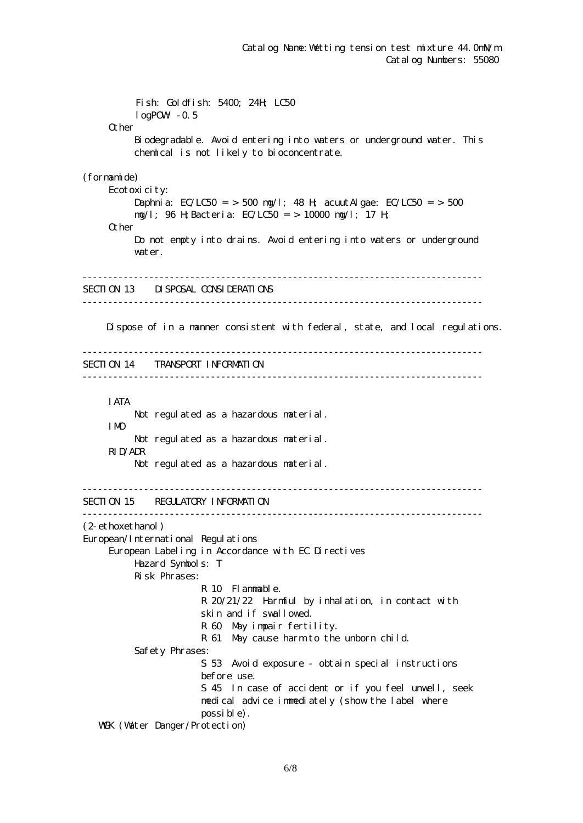Fish: Goldfish: 5400; 24H; LC50  $log$ POW $-0.5$ **Q** her Biodegradable. Avoid entering into waters or underground water. This chemical is not likely to bioconcentrate. (formamide) Ecotoxicity: Daphnia:  $EC/LC50 = 500$  ng/l; 48 H; acuut Algae:  $EC/LC50 = 500$  mg/l; 96 H;Bacteria: EC/LC50 = > 10000 mg/l; 17 H; Other Do not empty into drains. Avoid entering into waters or underground water. ------------------------------------------------------------------------------ SECTION 13 DISPOSAL CONSIDERATIONS ------------------------------------------------------------------------------ Dispose of in a manner consistent with federal, state, and local regulations. ------------------------------------------------------------------------------ SECTION 14 TRANSPORT INFORMATION ------------------------------------------------------------------------------ IATA Not regulated as a hazardous material. IMO Not regulated as a hazardous material. RID/ADR Not regulated as a hazardous material. ------------------------------------------------------------------------------ SECTION 15 REGULATORY INFORMATION ------------------------------------------------------------------------------ (2-ethoxethanol) European/International Regulations European Labeling in Accordance with EC Directives Hazard Symbols: T Risk Phrases: R 10 Flammable. R 20/21/22 Harmful by inhalation, in contact with skin and if swallowed. R 60 May impair fertility. R 61 May cause harm to the unborn child. Safety Phrases: S 53 Avoid exposure - obtain special instructions before use. S 45 In case of accident or if you feel unwell, seek medical advice immediately (show the label where possible). WGK (Water Danger/Protection)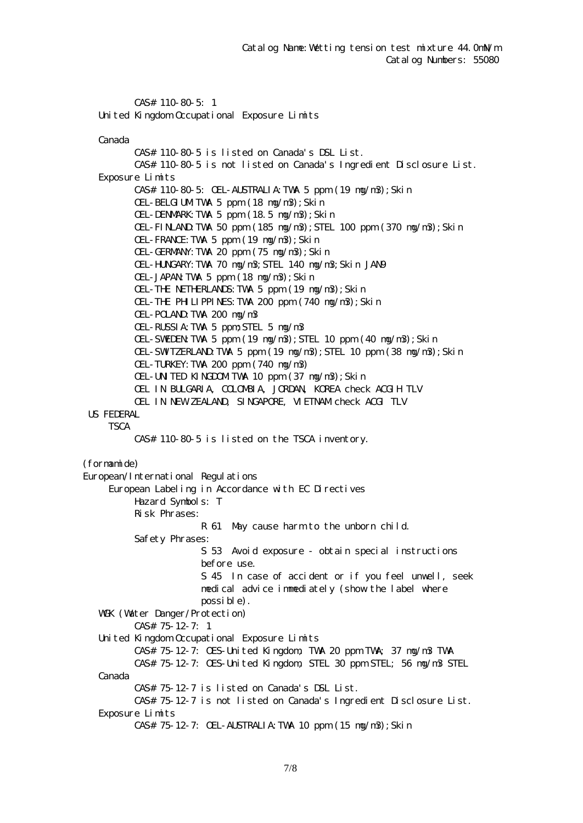CAS# 110-80-5: 1 United Kingdom Occupational Exposure Limits

Canada

 CAS# 110-80-5 is listed on Canada's DSL List. CAS# 110-80-5 is not listed on Canada's Ingredient Disclosure List. Exposure Limits CAS# 110-80-5: OEL-AUSTRALIA:TWA 5 ppm (19 mg/m3);Skin OEL-BELGIUM TWA 5 ppm  $(18 \text{ ng}/\text{m}3)$ ; Skin OEL-DENMARK:TWA 5 ppm (18.5 mg/m3);Skin OEL-FINLAND:TWA 50 ppm (185 mg/m3);STEL 100 ppm (370 mg/m3);Skin OEL-FRANCE:TWA 5 ppm (19 mg/m3);Skin OEL-GERMANY:TWA 20 ppm (75 mg/m3);Skin OEL-HUNGARY:TWA 70 mg/m3;STEL 140 mg/m3;Skin JAN9 OEL-JAPAN TWA 5 ppm  $(18 \text{ ng}/\text{m}3)$ ; Skin OEL-THE NETHERLANDS:TWA 5 ppm (19 mg/m3);Skin OEL-THE PHILIPPINES:TWA 200 ppm (740 mg/m3);Skin OEL-POLAND:TWA 200 mg/m3 OEL-RUSSIA:TWA 5 ppm;STEL 5 mg/m3 OEL-SWEDEN TWA 5 ppm (19  $mg/m3$ ); STEL 10 ppm (40  $mg/m3$ ); Skin OEL-SWIZERLAND TWA 5 ppm  $(19 \text{ ng/m3})$ ; STEL 10 ppm  $(38 \text{ ng/m3})$ ; Skin OEL-TURKEY:TWA 200 ppm (740 mg/m3) OEL-UNITED KINGDOMITWA 10 ppm (37 mg/m3); Skin OEL IN BULGARIA, COLOMBIA, JORDAN, KOREA check ACGIH TLV OEL IN NEW ZEALAND, SINGAPORE, VIETNAM check ACGI TLV US FEDERAL **TSCA**  CAS# 110-80-5 is listed on the TSCA inventory. (formamide) European/International Regulations European Labeling in Accordance with EC Directives Hazard Symbols: T Risk Phrases: R 61 May cause harm to the unborn child. Safety Phrases: S 53 Avoid exposure - obtain special instructions before use. S 45 In case of accident or if you feel unwell, seek medical advice immediately (show the label where possible). WGK (Water Danger/Protection) CAS# 75-12-7: 1 United Kingdom Occupational Exposure Limits CAS# 75-12-7: OES-United Kingdom, TWA 20 ppm TWA; 37 mg/m3 TWA CAS# 75-12-7: OES-United Kingdom, STEL 30 ppm STEL; 56 mg/m3 STEL Canada CAS# 75-12-7 is listed on Canada's DSL List. CAS# 75-12-7 is not listed on Canada's Ingredient Disclosure List. Exposure Limits CAS# 75-12-7: OEL-AUSTRALIA:TWA 10 ppm (15 mg/m3);Skin